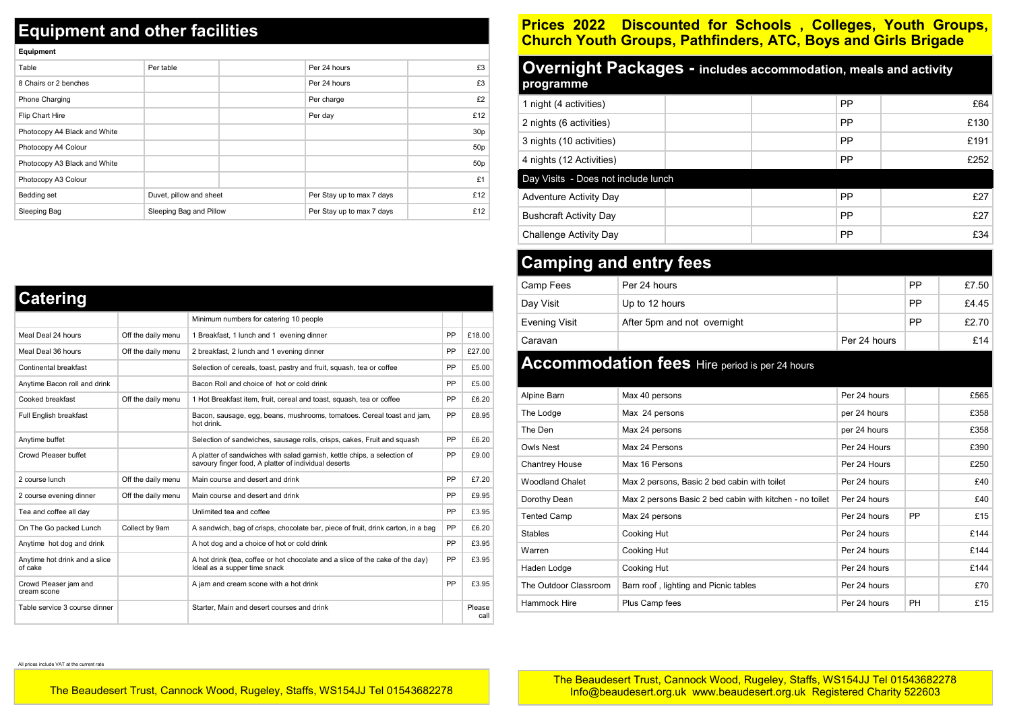## **Equipment and other facilities**

**Equipment** 

| Equipment                    |                         |                           |                 |
|------------------------------|-------------------------|---------------------------|-----------------|
| Table                        | Per table               | Per 24 hours              | £3              |
| 8 Chairs or 2 benches        |                         | Per 24 hours              | £3              |
| <b>Phone Charging</b>        |                         | Per charge                | £2              |
| Flip Chart Hire              |                         | Per day                   | £12             |
| Photocopy A4 Black and White |                         |                           | 30 <sub>p</sub> |
| Photocopy A4 Colour          |                         |                           | 50 <sub>p</sub> |
| Photocopy A3 Black and White |                         |                           | 50 <sub>p</sub> |
| Photocopy A3 Colour          |                         |                           | £1              |
| Bedding set                  | Duvet, pillow and sheet | Per Stay up to max 7 days | £12             |
| Sleeping Bag                 | Sleeping Bag and Pillow | Per Stay up to max 7 days | £12             |

| <b>Catering</b>                          |                    |                                                                                                                                  |    |                |
|------------------------------------------|--------------------|----------------------------------------------------------------------------------------------------------------------------------|----|----------------|
|                                          |                    | Minimum numbers for catering 10 people                                                                                           |    |                |
| Meal Deal 24 hours                       | Off the daily menu | 1 Breakfast, 1 lunch and 1 evening dinner                                                                                        | PP | £18.00         |
| Meal Deal 36 hours                       | Off the daily menu | 2 breakfast, 2 lunch and 1 evening dinner                                                                                        | PP | £27.00         |
| Continental breakfast                    |                    | Selection of cereals, toast, pastry and fruit, squash, tea or coffee                                                             | PP | £5.00          |
| Anytime Bacon roll and drink             |                    | Bacon Roll and choice of hot or cold drink                                                                                       | PP | £5.00          |
| Cooked breakfast                         | Off the daily menu | 1 Hot Breakfast item, fruit, cereal and toast, squash, tea or coffee                                                             | PP | £6.20          |
| Full English breakfast                   |                    | Bacon, sausage, egg, beans, mushrooms, tomatoes. Cereal toast and jam,<br>hot drink.                                             | PP | £8.95          |
| Anytime buffet                           |                    | Selection of sandwiches, sausage rolls, crisps, cakes, Fruit and squash                                                          | PP | £6.20          |
| Crowd Pleaser buffet                     |                    | A platter of sandwiches with salad garnish, kettle chips, a selection of<br>savoury finger food, A platter of individual deserts | PP | £9.00          |
| 2 course lunch                           | Off the daily menu | Main course and desert and drink                                                                                                 | PP | £7.20          |
| 2 course evening dinner                  | Off the daily menu | Main course and desert and drink                                                                                                 | PP | £9.95          |
| Tea and coffee all day                   |                    | Unlimited tea and coffee                                                                                                         | PP | £3.95          |
| On The Go packed Lunch                   | Collect by 9am     | A sandwich, bag of crisps, chocolate bar, piece of fruit, drink carton, in a bag                                                 | PP | £6.20          |
| Anytime hot dog and drink                |                    | A hot dog and a choice of hot or cold drink                                                                                      | PP | £3.95          |
| Anytime hot drink and a slice<br>of cake |                    | A hot drink (tea, coffee or hot chocolate and a slice of the cake of the day)<br>Ideal as a supper time snack                    | PP | £3.95          |
| Crowd Pleaser jam and<br>cream scone     |                    | A jam and cream scone with a hot drink                                                                                           | PP | £3.95          |
| Table service 3 course dinner            |                    | Starter, Main and desert courses and drink                                                                                       |    | Please<br>call |

## **Prices 2022 Discounted for Schools , Colleges, Youth Groups, Church Youth Groups, Pathfinders, ATC, Boys and Girls Brigade**

| <b>Overnight Packages - includes accommodation, meals and activity</b><br>programme |  |    |      |  |  |
|-------------------------------------------------------------------------------------|--|----|------|--|--|
| 1 night (4 activities)                                                              |  | PP | £64  |  |  |
| 2 nights (6 activities)                                                             |  | PP | £130 |  |  |
| 3 nights (10 activities)                                                            |  | PP | £191 |  |  |
| 4 nights (12 Activities)                                                            |  | PP | £252 |  |  |
| Day Visits - Does not include lunch                                                 |  |    |      |  |  |
| Adventure Activity Day                                                              |  | PP | £27  |  |  |
| <b>Bushcraft Activity Day</b>                                                       |  | PP | £27  |  |  |
| Challenge Activity Day                                                              |  | PP | £34  |  |  |

## **Camping and entry fees**

| Camp Fees     | Per 24 hours                |              | <b>PP</b> | £7.50 |
|---------------|-----------------------------|--------------|-----------|-------|
| Day Visit     | Up to 12 hours              |              | <b>PP</b> | £4.45 |
| Evening Visit | After 5pm and not overnight |              | <b>PP</b> | £2.70 |
| Caravan       |                             | Per 24 hours |           | £14   |

## **Accommodation fees** Hire period is per 24 hours

| Alpine Barn           | Max 40 persons                                           | Per 24 hours |           | £565 |
|-----------------------|----------------------------------------------------------|--------------|-----------|------|
| The Lodge             | Max 24 persons                                           | per 24 hours |           | £358 |
| The Den               | Max 24 persons                                           | per 24 hours |           | £358 |
| <b>Owls Nest</b>      | Max 24 Persons                                           | Per 24 Hours |           | £390 |
| <b>Chantrey House</b> | Max 16 Persons                                           | Per 24 Hours |           | £250 |
| Woodland Chalet       | Max 2 persons, Basic 2 bed cabin with toilet             | Per 24 hours |           | £40  |
| Dorothy Dean          | Max 2 persons Basic 2 bed cabin with kitchen - no toilet | Per 24 hours |           | £40  |
| <b>Tented Camp</b>    | Max 24 persons                                           | Per 24 hours | <b>PP</b> | £15  |
| <b>Stables</b>        | Cooking Hut                                              | Per 24 hours |           | £144 |
| Warren                | Cooking Hut                                              | Per 24 hours |           | £144 |
| Haden Lodge           | Cooking Hut                                              | Per 24 hours |           | £144 |
| The Outdoor Classroom | Barn roof, lighting and Picnic tables                    | Per 24 hours |           | £70  |
| Hammock Hire          | Plus Camp fees                                           | Per 24 hours | PH        | £15  |

All prices include VAT at the current rate

The Beaudesert Trust, Cannock Wood, Rugeley, Staffs, WS154JJ Tel 01543682278

The Beaudesert Trust, Cannock Wood, Rugeley, Staffs, WS154JJ Tel 01543682278 Info@beaudesert.org.uk www.beaudesert.org.uk Registered Charity 522603